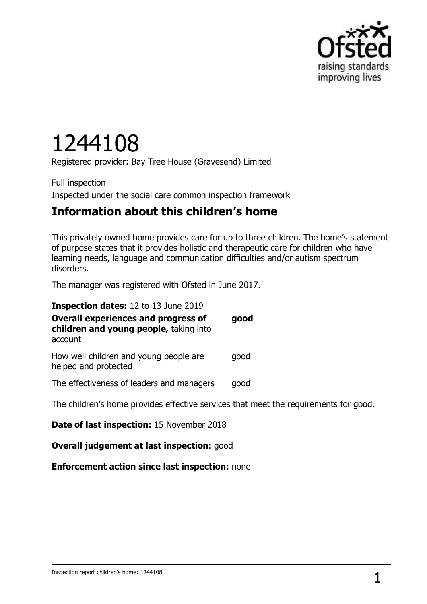

# 1244108

Registered provider: Bay Tree House (Gravesend) Limited

Full inspection Inspected under the social care common inspection framework

## **Information about this children's home**

This privately owned home provides care for up to three children. The home's statement of purpose states that it provides holistic and therapeutic care for children who have learning needs, language and communication difficulties and/or autism spectrum disorders.

The manager was registered with Ofsted in June 2017.

| Inspection dates: 12 to 13 June 2019                                                            |      |
|-------------------------------------------------------------------------------------------------|------|
| <b>Overall experiences and progress of</b><br>children and young people, taking into<br>account | good |
| How well children and young people are<br>helped and protected                                  | good |
| The effectiveness of leaders and managers                                                       | good |
| The children's home provides effective services that meet the requirements for good.            |      |

**Date of last inspection:** 15 November 2018

**Overall judgement at last inspection:** good

**Enforcement action since last inspection:** none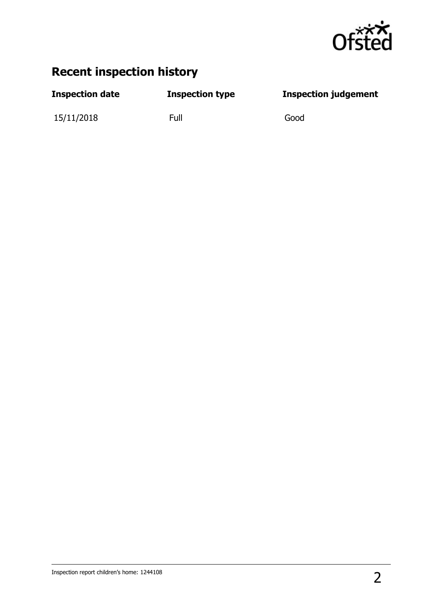

## **Recent inspection history**

| <b>Inspection date</b> | <b>Inspection type</b> | <b>Inspection judgement</b> |
|------------------------|------------------------|-----------------------------|
|                        |                        |                             |

15/11/2018 Full Good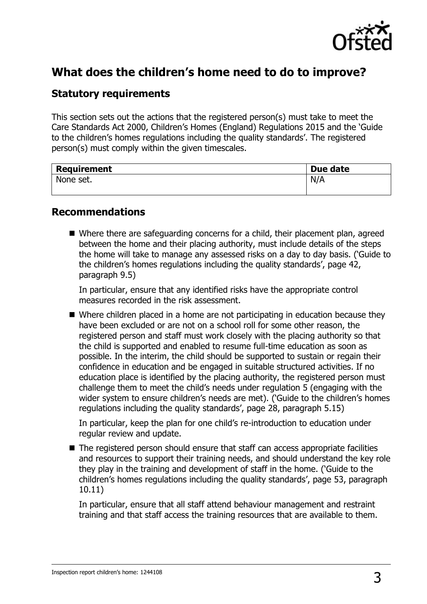

## **What does the children's home need to do to improve?**

#### **Statutory requirements**

This section sets out the actions that the registered person(s) must take to meet the Care Standards Act 2000, Children's Homes (England) Regulations 2015 and the 'Guide to the children's homes regulations including the quality standards'. The registered person(s) must comply within the given timescales.

| <b>Requirement</b> | Due date |
|--------------------|----------|
| None set.          | N/A      |
|                    |          |

#### **Recommendations**

■ Where there are safeguarding concerns for a child, their placement plan, agreed between the home and their placing authority, must include details of the steps the home will take to manage any assessed risks on a day to day basis. ('Guide to the children's homes regulations including the quality standards', page 42, paragraph 9.5)

In particular, ensure that any identified risks have the appropriate control measures recorded in the risk assessment.

■ Where children placed in a home are not participating in education because they have been excluded or are not on a school roll for some other reason, the registered person and staff must work closely with the placing authority so that the child is supported and enabled to resume full-time education as soon as possible. In the interim, the child should be supported to sustain or regain their confidence in education and be engaged in suitable structured activities. If no education place is identified by the placing authority, the registered person must challenge them to meet the child's needs under regulation 5 (engaging with the wider system to ensure children's needs are met). ('Guide to the children's homes regulations including the quality standards', page 28, paragraph 5.15)

In particular, keep the plan for one child's re-introduction to education under regular review and update.

■ The registered person should ensure that staff can access appropriate facilities and resources to support their training needs, and should understand the key role they play in the training and development of staff in the home. ('Guide to the children's homes regulations including the quality standards', page 53, paragraph 10.11)

In particular, ensure that all staff attend behaviour management and restraint training and that staff access the training resources that are available to them.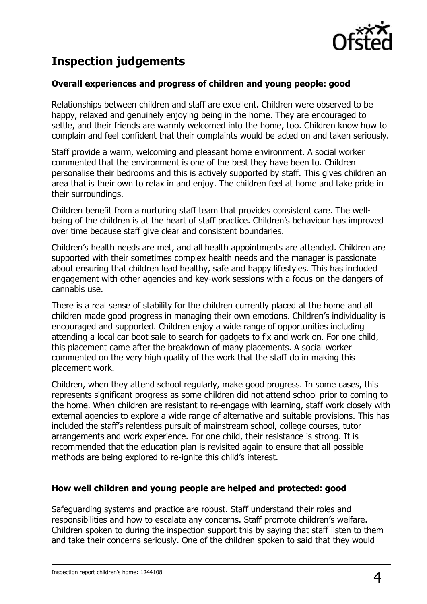

## **Inspection judgements**

#### **Overall experiences and progress of children and young people: good**

Relationships between children and staff are excellent. Children were observed to be happy, relaxed and genuinely enjoying being in the home. They are encouraged to settle, and their friends are warmly welcomed into the home, too. Children know how to complain and feel confident that their complaints would be acted on and taken seriously.

Staff provide a warm, welcoming and pleasant home environment. A social worker commented that the environment is one of the best they have been to. Children personalise their bedrooms and this is actively supported by staff. This gives children an area that is their own to relax in and enjoy. The children feel at home and take pride in their surroundings.

Children benefit from a nurturing staff team that provides consistent care. The wellbeing of the children is at the heart of staff practice. Children's behaviour has improved over time because staff give clear and consistent boundaries.

Children's health needs are met, and all health appointments are attended. Children are supported with their sometimes complex health needs and the manager is passionate about ensuring that children lead healthy, safe and happy lifestyles. This has included engagement with other agencies and key-work sessions with a focus on the dangers of cannabis use.

There is a real sense of stability for the children currently placed at the home and all children made good progress in managing their own emotions. Children's individuality is encouraged and supported. Children enjoy a wide range of opportunities including attending a local car boot sale to search for gadgets to fix and work on. For one child, this placement came after the breakdown of many placements. A social worker commented on the very high quality of the work that the staff do in making this placement work.

Children, when they attend school regularly, make good progress. In some cases, this represents significant progress as some children did not attend school prior to coming to the home. When children are resistant to re-engage with learning, staff work closely with external agencies to explore a wide range of alternative and suitable provisions. This has included the staff's relentless pursuit of mainstream school, college courses, tutor arrangements and work experience. For one child, their resistance is strong. It is recommended that the education plan is revisited again to ensure that all possible methods are being explored to re-ignite this child's interest.

#### **How well children and young people are helped and protected: good**

Safeguarding systems and practice are robust. Staff understand their roles and responsibilities and how to escalate any concerns. Staff promote children's welfare. Children spoken to during the inspection support this by saying that staff listen to them and take their concerns seriously. One of the children spoken to said that they would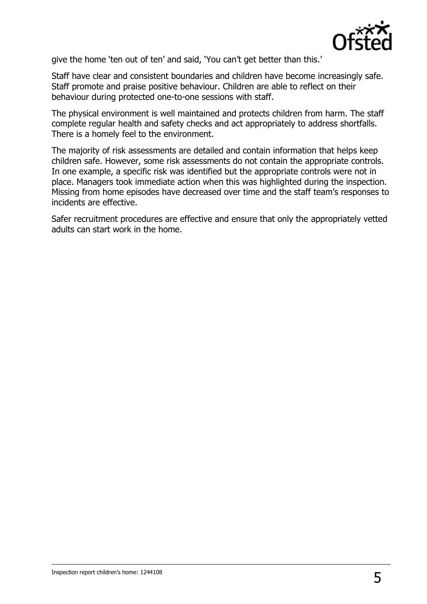

give the home 'ten out of ten' and said, 'You can't get better than this.'

Staff have clear and consistent boundaries and children have become increasingly safe. Staff promote and praise positive behaviour. Children are able to reflect on their behaviour during protected one-to-one sessions with staff.

The physical environment is well maintained and protects children from harm. The staff complete regular health and safety checks and act appropriately to address shortfalls. There is a homely feel to the environment.

The majority of risk assessments are detailed and contain information that helps keep children safe. However, some risk assessments do not contain the appropriate controls. In one example, a specific risk was identified but the appropriate controls were not in place. Managers took immediate action when this was highlighted during the inspection. Missing from home episodes have decreased over time and the staff team's responses to incidents are effective.

Safer recruitment procedures are effective and ensure that only the appropriately vetted adults can start work in the home.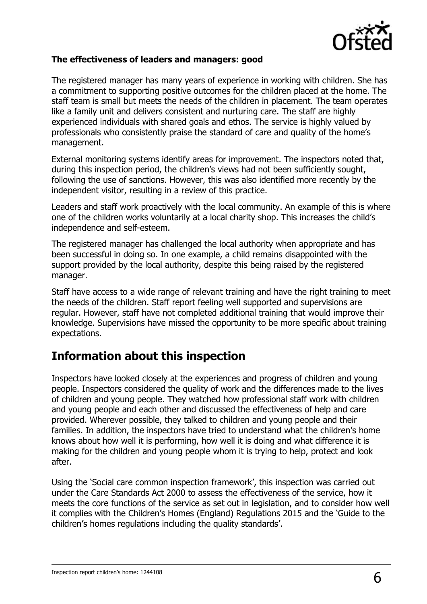

#### **The effectiveness of leaders and managers: good**

The registered manager has many years of experience in working with children. She has a commitment to supporting positive outcomes for the children placed at the home. The staff team is small but meets the needs of the children in placement. The team operates like a family unit and delivers consistent and nurturing care. The staff are highly experienced individuals with shared goals and ethos. The service is highly valued by professionals who consistently praise the standard of care and quality of the home's management.

External monitoring systems identify areas for improvement. The inspectors noted that, during this inspection period, the children's views had not been sufficiently sought, following the use of sanctions. However, this was also identified more recently by the independent visitor, resulting in a review of this practice.

Leaders and staff work proactively with the local community. An example of this is where one of the children works voluntarily at a local charity shop. This increases the child's independence and self-esteem.

The registered manager has challenged the local authority when appropriate and has been successful in doing so. In one example, a child remains disappointed with the support provided by the local authority, despite this being raised by the registered manager.

Staff have access to a wide range of relevant training and have the right training to meet the needs of the children. Staff report feeling well supported and supervisions are regular. However, staff have not completed additional training that would improve their knowledge. Supervisions have missed the opportunity to be more specific about training expectations.

### **Information about this inspection**

Inspectors have looked closely at the experiences and progress of children and young people. Inspectors considered the quality of work and the differences made to the lives of children and young people. They watched how professional staff work with children and young people and each other and discussed the effectiveness of help and care provided. Wherever possible, they talked to children and young people and their families. In addition, the inspectors have tried to understand what the children's home knows about how well it is performing, how well it is doing and what difference it is making for the children and young people whom it is trying to help, protect and look after.

Using the 'Social care common inspection framework', this inspection was carried out under the Care Standards Act 2000 to assess the effectiveness of the service, how it meets the core functions of the service as set out in legislation, and to consider how well it complies with the Children's Homes (England) Regulations 2015 and the 'Guide to the children's homes regulations including the quality standards'.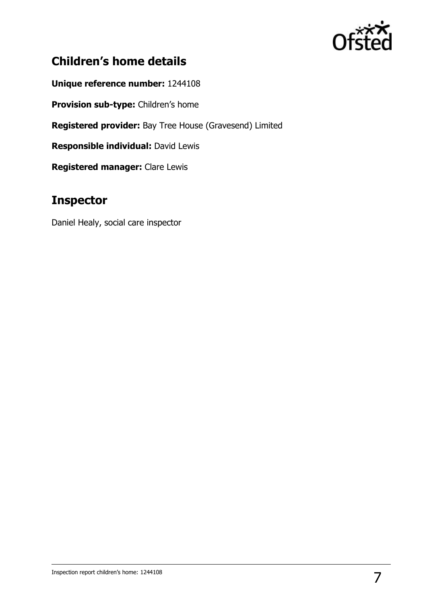

## **Children's home details**

**Unique reference number:** 1244108

**Provision sub-type:** Children's home

**Registered provider:** Bay Tree House (Gravesend) Limited

**Responsible individual:** David Lewis

**Registered manager:** Clare Lewis

## **Inspector**

Daniel Healy, social care inspector